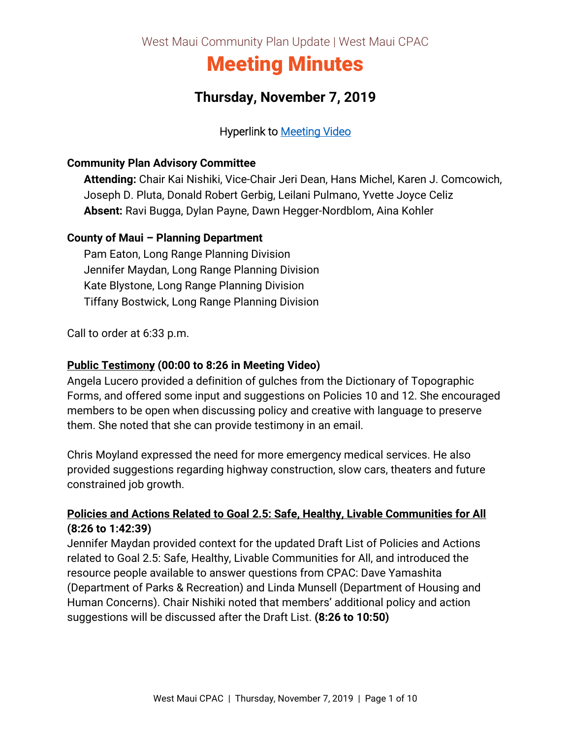West Maui Community Plan Update | West Maui CPAC

# Meeting Minutes

## **Thursday, November 7, 2019**

#### Hyperlink to [Meeting Video](https://archive.org/191107-wmpac)

#### **Community Plan Advisory Committee**

**Attending:** Chair Kai Nishiki, Vice-Chair Jeri Dean, Hans Michel, Karen J. Comcowich, Joseph D. Pluta, Donald Robert Gerbig, Leilani Pulmano, Yvette Joyce Celiz **Absent:** Ravi Bugga, Dylan Payne, Dawn Hegger-Nordblom, Aina Kohler

#### **County of Maui – Planning Department**

Pam Eaton, Long Range Planning Division Jennifer Maydan, Long Range Planning Division Kate Blystone, Long Range Planning Division Tiffany Bostwick, Long Range Planning Division

Call to order at 6:33 p.m.

#### **Public Testimony (00:00 to 8:26 in Meeting Video)**

Angela Lucero provided a definition of gulches from the Dictionary of Topographic Forms, and offered some input and suggestions on Policies 10 and 12. She encouraged members to be open when discussing policy and creative with language to preserve them. She noted that she can provide testimony in an email.

Chris Moyland expressed the need for more emergency medical services. He also provided suggestions regarding highway construction, slow cars, theaters and future constrained job growth.

#### **Policies and Actions Related to Goal 2.5: Safe, Healthy, Livable Communities for All (8:26 to 1:42:39)**

Jennifer Maydan provided context for the updated Draft List of Policies and Actions related to Goal 2.5: Safe, Healthy, Livable Communities for All, and introduced the resource people available to answer questions from CPAC: Dave Yamashita (Department of Parks & Recreation) and Linda Munsell (Department of Housing and Human Concerns). Chair Nishiki noted that members' additional policy and action suggestions will be discussed after the Draft List. **(8:26 to 10:50)**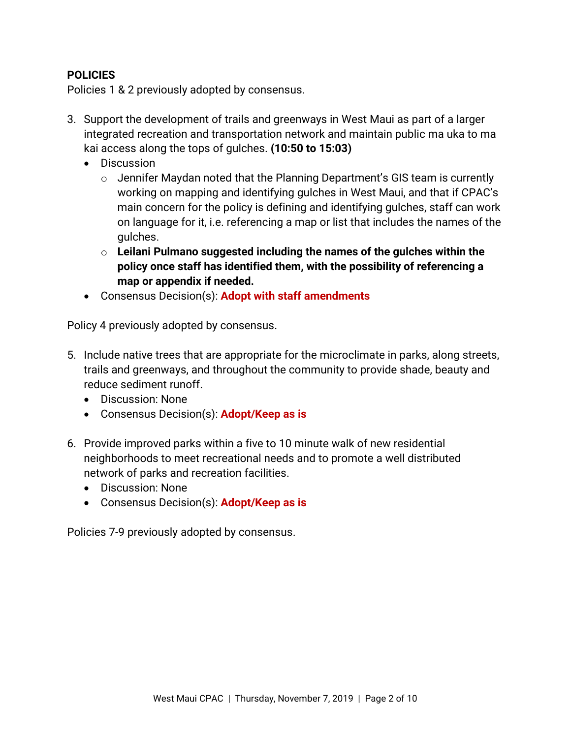#### **POLICIES**

Policies 1 & 2 previously adopted by consensus.

- 3. Support the development of trails and greenways in West Maui as part of a larger integrated recreation and transportation network and maintain public ma uka to ma kai access along the tops of gulches. **(10:50 to 15:03)**
	- Discussion
		- o Jennifer Maydan noted that the Planning Department's GIS team is currently working on mapping and identifying gulches in West Maui, and that if CPAC's main concern for the policy is defining and identifying gulches, staff can work on language for it, i.e. referencing a map or list that includes the names of the gulches.
		- o **Leilani Pulmano suggested including the names of the gulches within the policy once staff has identified them, with the possibility of referencing a map or appendix if needed.**
	- Consensus Decision(s): **Adopt with staff amendments**

Policy 4 previously adopted by consensus.

- 5. Include native trees that are appropriate for the microclimate in parks, along streets, trails and greenways, and throughout the community to provide shade, beauty and reduce sediment runoff.
	- Discussion: None
	- Consensus Decision(s): **Adopt/Keep as is**
- 6. Provide improved parks within a five to 10 minute walk of new residential neighborhoods to meet recreational needs and to promote a well distributed network of parks and recreation facilities.
	- Discussion: None
	- Consensus Decision(s): **Adopt/Keep as is**

Policies 7-9 previously adopted by consensus.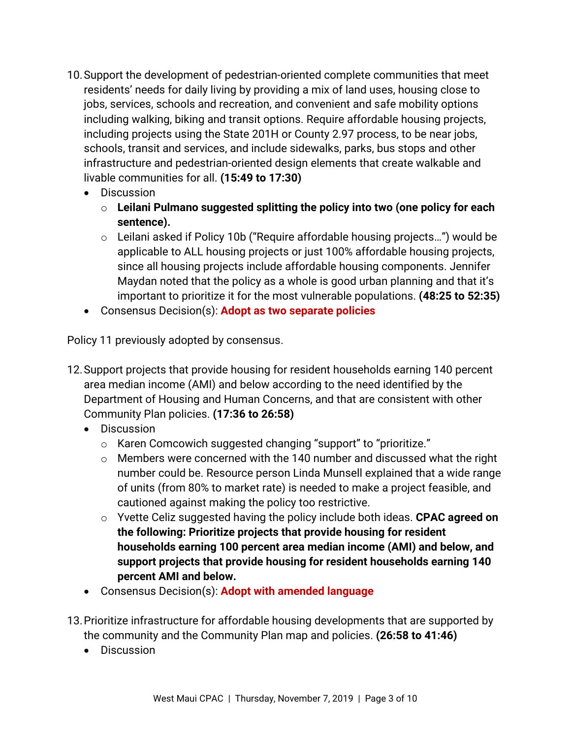- 10.Support the development of pedestrian-oriented complete communities that meet residents' needs for daily living by providing a mix of land uses, housing close to jobs, services, schools and recreation, and convenient and safe mobility options including walking, biking and transit options. Require affordable housing projects, including projects using the State 201H or County 2.97 process, to be near jobs, schools, transit and services, and include sidewalks, parks, bus stops and other infrastructure and pedestrian-oriented design elements that create walkable and livable communities for all. **(15:49 to 17:30)**
	- Discussion
		- o **Leilani Pulmano suggested splitting the policy into two (one policy for each sentence).**
		- o Leilani asked if Policy 10b ("Require affordable housing projects…") would be applicable to ALL housing projects or just 100% affordable housing projects, since all housing projects include affordable housing components. Jennifer Maydan noted that the policy as a whole is good urban planning and that it's important to prioritize it for the most vulnerable populations. **(48:25 to 52:35)**
	- Consensus Decision(s): **Adopt as two separate policies**

Policy 11 previously adopted by consensus.

- 12.Support projects that provide housing for resident households earning 140 percent area median income (AMI) and below according to the need identified by the Department of Housing and Human Concerns, and that are consistent with other Community Plan policies. **(17:36 to 26:58)**
	- Discussion
		- o Karen Comcowich suggested changing "support" to "prioritize."
		- o Members were concerned with the 140 number and discussed what the right number could be. Resource person Linda Munsell explained that a wide range of units (from 80% to market rate) is needed to make a project feasible, and cautioned against making the policy too restrictive.
		- o Yvette Celiz suggested having the policy include both ideas. **CPAC agreed on the following: Prioritize projects that provide housing for resident households earning 100 percent area median income (AMI) and below, and support projects that provide housing for resident households earning 140 percent AMI and below.**
	- Consensus Decision(s): **Adopt with amended language**
- 13.Prioritize infrastructure for affordable housing developments that are supported by the community and the Community Plan map and policies. **(26:58 to 41:46)**
	- Discussion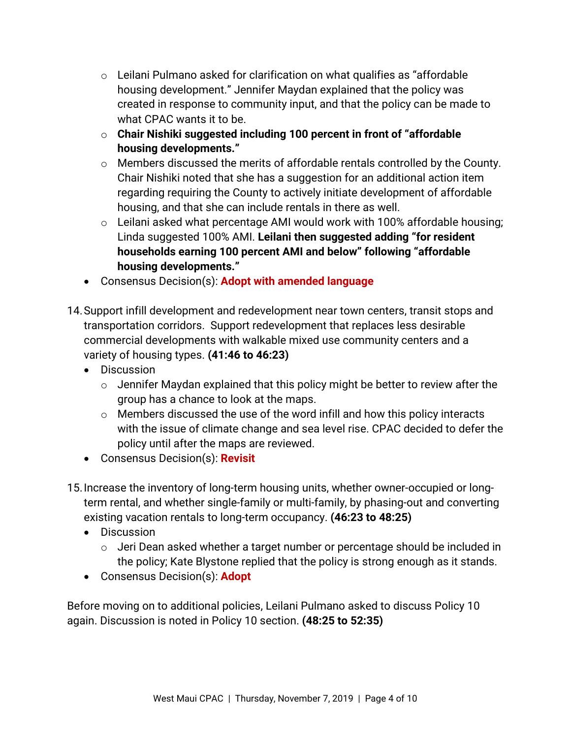- $\circ$  Leilani Pulmano asked for clarification on what qualifies as "affordable" housing development." Jennifer Maydan explained that the policy was created in response to community input, and that the policy can be made to what CPAC wants it to be.
- o **Chair Nishiki suggested including 100 percent in front of "affordable housing developments."**
- o Members discussed the merits of affordable rentals controlled by the County. Chair Nishiki noted that she has a suggestion for an additional action item regarding requiring the County to actively initiate development of affordable housing, and that she can include rentals in there as well.
- $\circ$  Leilani asked what percentage AMI would work with 100% affordable housing; Linda suggested 100% AMI. **Leilani then suggested adding "for resident households earning 100 percent AMI and below" following "affordable housing developments."**
- Consensus Decision(s): **Adopt with amended language**
- 14.Support infill development and redevelopment near town centers, transit stops and transportation corridors. Support redevelopment that replaces less desirable commercial developments with walkable mixed use community centers and a variety of housing types. **(41:46 to 46:23)**
	- Discussion
		- $\circ$  Jennifer Maydan explained that this policy might be better to review after the group has a chance to look at the maps.
		- $\circ$  Members discussed the use of the word infill and how this policy interacts with the issue of climate change and sea level rise. CPAC decided to defer the policy until after the maps are reviewed.
	- Consensus Decision(s): **Revisit**
- 15.Increase the inventory of long-term housing units, whether owner-occupied or longterm rental, and whether single-family or multi-family, by phasing-out and converting existing vacation rentals to long-term occupancy. **(46:23 to 48:25)**
	- Discussion
		- o Jeri Dean asked whether a target number or percentage should be included in the policy; Kate Blystone replied that the policy is strong enough as it stands.
	- Consensus Decision(s): **Adopt**

Before moving on to additional policies, Leilani Pulmano asked to discuss Policy 10 again. Discussion is noted in Policy 10 section. **(48:25 to 52:35)**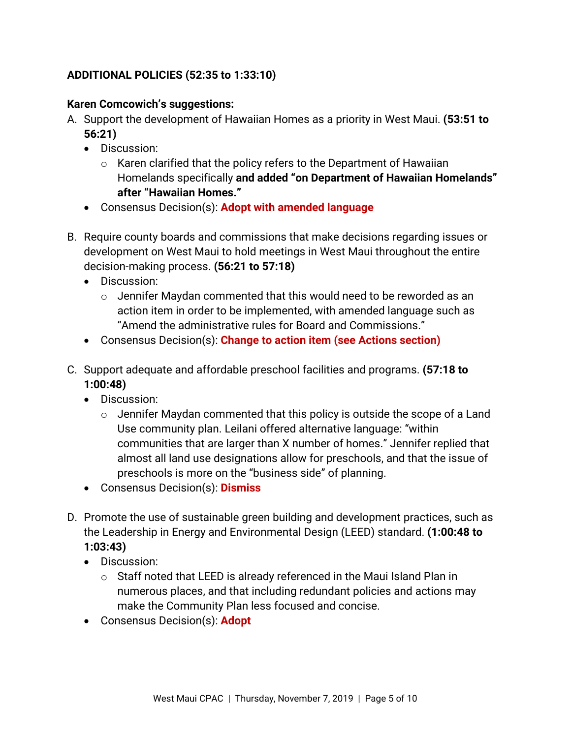#### **ADDITIONAL POLICIES (52:35 to 1:33:10)**

#### **Karen Comcowich's suggestions:**

- A. Support the development of Hawaiian Homes as a priority in West Maui. **(53:51 to 56:21)**
	- Discussion:
		- $\circ$  Karen clarified that the policy refers to the Department of Hawaiian Homelands specifically **and added "on Department of Hawaiian Homelands" after "Hawaiian Homes."**
	- Consensus Decision(s): **Adopt with amended language**
- B. Require county boards and commissions that make decisions regarding issues or development on West Maui to hold meetings in West Maui throughout the entire decision-making process. **(56:21 to 57:18)**
	- Discussion:
		- o Jennifer Maydan commented that this would need to be reworded as an action item in order to be implemented, with amended language such as "Amend the administrative rules for Board and Commissions."
	- Consensus Decision(s): **Change to action item (see Actions section)**
- C. Support adequate and affordable preschool facilities and programs. **(57:18 to 1:00:48)**
	- Discussion:
		- $\circ$  Jennifer Maydan commented that this policy is outside the scope of a Land Use community plan. Leilani offered alternative language: "within communities that are larger than X number of homes." Jennifer replied that almost all land use designations allow for preschools, and that the issue of preschools is more on the "business side" of planning.
	- Consensus Decision(s): **Dismiss**
- D. Promote the use of sustainable green building and development practices, such as the Leadership in Energy and Environmental Design (LEED) standard. **(1:00:48 to 1:03:43)**
	- Discussion:
		- $\circ$  Staff noted that LEED is already referenced in the Maui Island Plan in numerous places, and that including redundant policies and actions may make the Community Plan less focused and concise.
	- Consensus Decision(s): **Adopt**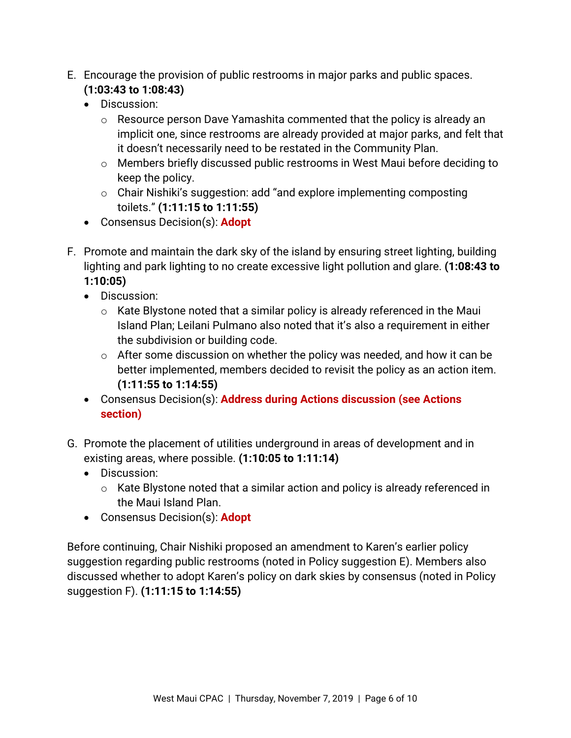- E. Encourage the provision of public restrooms in major parks and public spaces. **(1:03:43 to 1:08:43)**
	- Discussion:
		- o Resource person Dave Yamashita commented that the policy is already an implicit one, since restrooms are already provided at major parks, and felt that it doesn't necessarily need to be restated in the Community Plan.
		- o Members briefly discussed public restrooms in West Maui before deciding to keep the policy.
		- o Chair Nishiki's suggestion: add "and explore implementing composting toilets." **(1:11:15 to 1:11:55)**
	- Consensus Decision(s): **Adopt**
- F. Promote and maintain the dark sky of the island by ensuring street lighting, building lighting and park lighting to no create excessive light pollution and glare. **(1:08:43 to 1:10:05)**
	- Discussion:
		- $\circ$  Kate Blystone noted that a similar policy is already referenced in the Maui Island Plan; Leilani Pulmano also noted that it's also a requirement in either the subdivision or building code.
		- $\circ$  After some discussion on whether the policy was needed, and how it can be better implemented, members decided to revisit the policy as an action item. **(1:11:55 to 1:14:55)**
	- Consensus Decision(s): **Address during Actions discussion (see Actions section)**
- G. Promote the placement of utilities underground in areas of development and in existing areas, where possible. **(1:10:05 to 1:11:14)**
	- Discussion:
		- o Kate Blystone noted that a similar action and policy is already referenced in the Maui Island Plan.
	- Consensus Decision(s): **Adopt**

Before continuing, Chair Nishiki proposed an amendment to Karen's earlier policy suggestion regarding public restrooms (noted in Policy suggestion E). Members also discussed whether to adopt Karen's policy on dark skies by consensus (noted in Policy suggestion F). **(1:11:15 to 1:14:55)**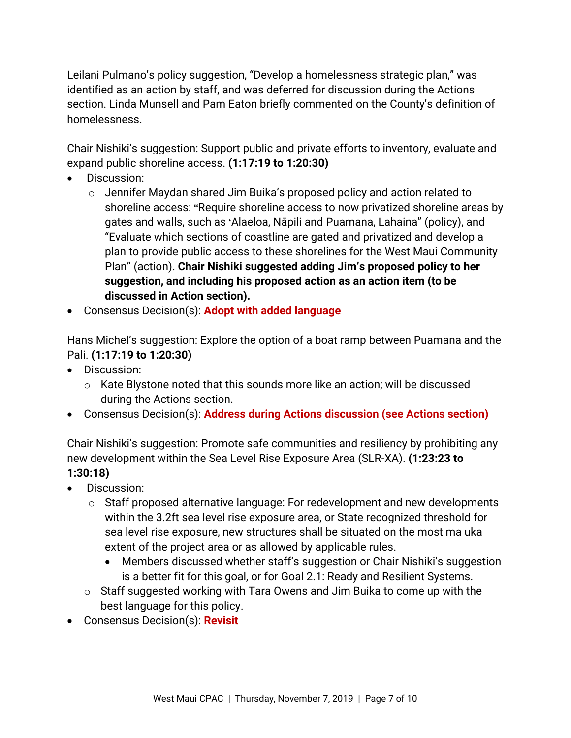Leilani Pulmano's policy suggestion, "Develop a homelessness strategic plan," was identified as an action by staff, and was deferred for discussion during the Actions section. Linda Munsell and Pam Eaton briefly commented on the County's definition of homelessness.

Chair Nishiki's suggestion: Support public and private efforts to inventory, evaluate and expand public shoreline access. **(1:17:19 to 1:20:30)**

- Discussion:
	- o Jennifer Maydan shared Jim Buika's proposed policy and action related to shoreline access: "Require shoreline access to now privatized shoreline areas by gates and walls, such as 'Alaeloa, Nāpili and Puamana, Lahaina" (policy), and "Evaluate which sections of coastline are gated and privatized and develop a plan to provide public access to these shorelines for the West Maui Community Plan" (action). **Chair Nishiki suggested adding Jim's proposed policy to her suggestion, and including his proposed action as an action item (to be discussed in Action section).**
- Consensus Decision(s): **Adopt with added language**

Hans Michel's suggestion: Explore the option of a boat ramp between Puamana and the Pali. **(1:17:19 to 1:20:30)**

- Discussion:
	- o Kate Blystone noted that this sounds more like an action; will be discussed during the Actions section.
- Consensus Decision(s): **Address during Actions discussion (see Actions section)**

Chair Nishiki's suggestion: Promote safe communities and resiliency by prohibiting any new development within the Sea Level Rise Exposure Area (SLR-XA). **(1:23:23 to 1:30:18)**

- Discussion:
	- o Staff proposed alternative language: For redevelopment and new developments within the 3.2ft sea level rise exposure area, or State recognized threshold for sea level rise exposure, new structures shall be situated on the most ma uka extent of the project area or as allowed by applicable rules.
		- Members discussed whether staff's suggestion or Chair Nishiki's suggestion is a better fit for this goal, or for Goal 2.1: Ready and Resilient Systems.
	- o Staff suggested working with Tara Owens and Jim Buika to come up with the best language for this policy.
- Consensus Decision(s): **Revisit**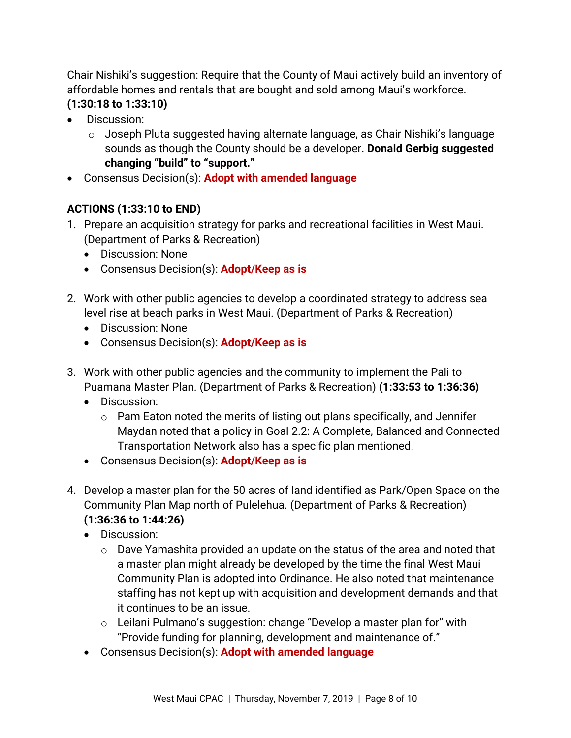Chair Nishiki's suggestion: Require that the County of Maui actively build an inventory of affordable homes and rentals that are bought and sold among Maui's workforce.

- **(1:30:18 to 1:33:10)**
- Discussion:
	- o Joseph Pluta suggested having alternate language, as Chair Nishiki's language sounds as though the County should be a developer. **Donald Gerbig suggested changing "build" to "support."**
- Consensus Decision(s): **Adopt with amended language**

### **ACTIONS (1:33:10 to END)**

- 1. Prepare an acquisition strategy for parks and recreational facilities in West Maui. (Department of Parks & Recreation)
	- Discussion: None
	- Consensus Decision(s): **Adopt/Keep as is**
- 2. Work with other public agencies to develop a coordinated strategy to address sea level rise at beach parks in West Maui. (Department of Parks & Recreation)
	- Discussion: None
	- Consensus Decision(s): **Adopt/Keep as is**
- 3. Work with other public agencies and the community to implement the Pali to Puamana Master Plan. (Department of Parks & Recreation) **(1:33:53 to 1:36:36)**
	- Discussion:
		- $\circ$  Pam Eaton noted the merits of listing out plans specifically, and Jennifer Maydan noted that a policy in Goal 2.2: A Complete, Balanced and Connected Transportation Network also has a specific plan mentioned.
	- Consensus Decision(s): **Adopt/Keep as is**
- 4. Develop a master plan for the 50 acres of land identified as Park/Open Space on the Community Plan Map north of Pulelehua. (Department of Parks & Recreation) **(1:36:36 to 1:44:26)**
	- Discussion:
		- o Dave Yamashita provided an update on the status of the area and noted that a master plan might already be developed by the time the final West Maui Community Plan is adopted into Ordinance. He also noted that maintenance staffing has not kept up with acquisition and development demands and that it continues to be an issue.
		- o Leilani Pulmano's suggestion: change "Develop a master plan for" with "Provide funding for planning, development and maintenance of."
	- Consensus Decision(s): **Adopt with amended language**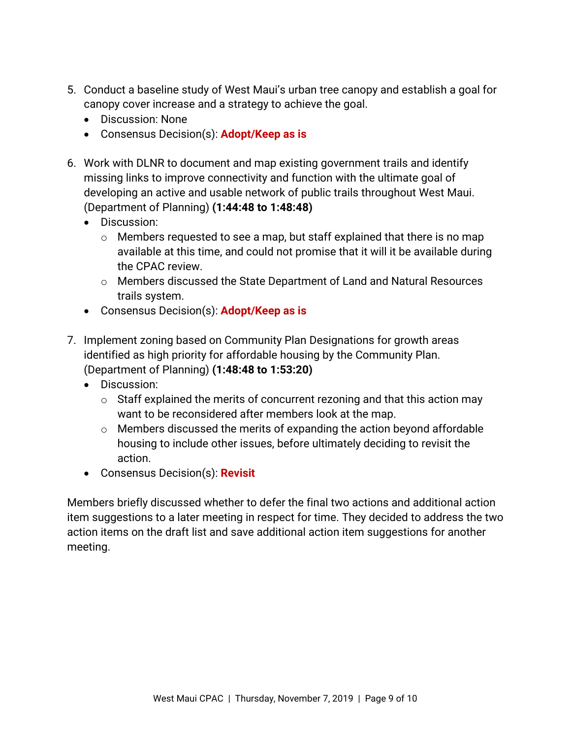- 5. Conduct a baseline study of West Maui's urban tree canopy and establish a goal for canopy cover increase and a strategy to achieve the goal.
	- Discussion: None
	- Consensus Decision(s): **Adopt/Keep as is**
- 6. Work with DLNR to document and map existing government trails and identify missing links to improve connectivity and function with the ultimate goal of developing an active and usable network of public trails throughout West Maui. (Department of Planning) **(1:44:48 to 1:48:48)**
	- Discussion:
		- o Members requested to see a map, but staff explained that there is no map available at this time, and could not promise that it will it be available during the CPAC review.
		- o Members discussed the State Department of Land and Natural Resources trails system.
	- Consensus Decision(s): **Adopt/Keep as is**
- 7. Implement zoning based on Community Plan Designations for growth areas identified as high priority for affordable housing by the Community Plan. (Department of Planning) **(1:48:48 to 1:53:20)**
	- Discussion:
		- $\circ$  Staff explained the merits of concurrent rezoning and that this action may want to be reconsidered after members look at the map.
		- $\circ$  Members discussed the merits of expanding the action beyond affordable housing to include other issues, before ultimately deciding to revisit the action.
	- Consensus Decision(s): **Revisit**

Members briefly discussed whether to defer the final two actions and additional action item suggestions to a later meeting in respect for time. They decided to address the two action items on the draft list and save additional action item suggestions for another meeting.